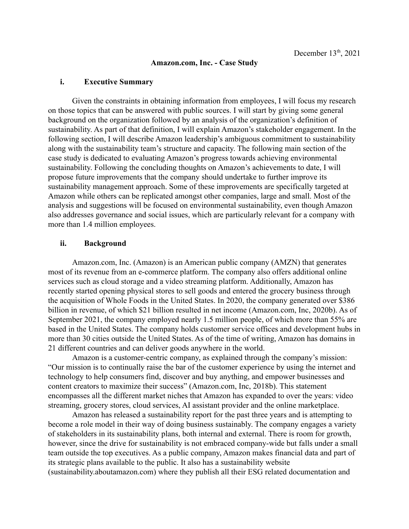#### **Amazon.com, Inc. - Case Study**

# **i. Executive Summary**

Given the constraints in obtaining information from employees, I will focus my research on those topics that can be answered with public sources. I will start by giving some general background on the organization followed by an analysis of the organization's definition of sustainability. As part of that definition, I will explain Amazon's stakeholder engagement. In the following section, I will describe Amazon leadership's ambiguous commitment to sustainability along with the sustainability team's structure and capacity. The following main section of the case study is dedicated to evaluating Amazon's progress towards achieving environmental sustainability. Following the concluding thoughts on Amazon's achievements to date, I will propose future improvements that the company should undertake to further improve its sustainability management approach. Some of these improvements are specifically targeted at Amazon while others can be replicated amongst other companies, large and small. Most of the analysis and suggestions will be focused on environmental sustainability, even though Amazon also addresses governance and social issues, which are particularly relevant for a company with more than 1.4 million employees.

## **ii. Background**

Amazon.com, Inc. (Amazon) is an American public company (AMZN) that generates most of its revenue from an e-commerce platform. The company also offers additional online services such as cloud storage and a video streaming platform. Additionally, Amazon has recently started opening physical stores to sell goods and entered the grocery business through the acquisition of Whole Foods in the United States. In 2020, the company generated over \$386 billion in revenue, of which \$21 billion resulted in net income (Amazon.com, Inc, 2020b). As of September 2021, the company employed nearly 1.5 million people, of which more than 55% are based in the United States. The company holds customer service offices and development hubs in more than 30 cities outside the United States. As of the time of writing, Amazon has domains in 21 different countries and can deliver goods anywhere in the world.

Amazon is a customer-centric company, as explained through the company's mission: "Our mission is to continually raise the bar of the customer experience by using the internet and technology to help consumers find, discover and buy anything, and empower businesses and content creators to maximize their success" (Amazon.com, Inc, 2018b). This statement encompasses all the different market niches that Amazon has expanded to over the years: video streaming, grocery stores, cloud services, AI assistant provider and the online marketplace.

Amazon has released a sustainability report for the past three years and is attempting to become a role model in their way of doing business sustainably. The company engages a variety of stakeholders in its sustainability plans, both internal and external. There is room for growth, however, since the drive for sustainability is not embraced company-wide but falls under a small team outside the top executives. As a public company, Amazon makes financial data and part of its strategic plans available to the public. It also has a sustainability website (sustainability.aboutamazon.com) where they publish all their ESG related documentation and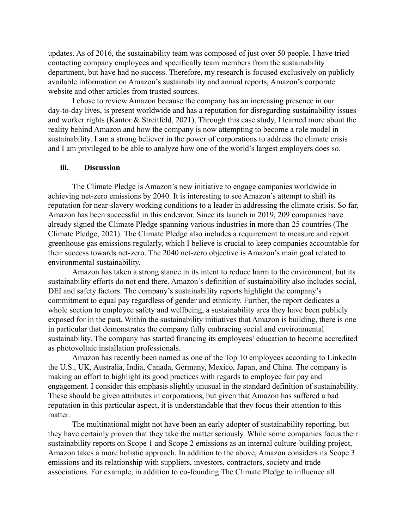updates. As of 2016, the sustainability team was composed of just over 50 people. I have tried contacting company employees and specifically team members from the sustainability department, but have had no success. Therefore, my research is focused exclusively on publicly available information on Amazon's sustainability and annual reports, Amazon's corporate website and other articles from trusted sources.

I chose to review Amazon because the company has an increasing presence in our day-to-day lives, is present worldwide and has a reputation for disregarding sustainability issues and worker rights (Kantor & Streitfeld, 2021). Through this case study, I learned more about the reality behind Amazon and how the company is now attempting to become a role model in sustainability. I am a strong believer in the power of corporations to address the climate crisis and I am privileged to be able to analyze how one of the world's largest employers does so.

### **iii. Discussion**

The Climate Pledge is Amazon's new initiative to engage companies worldwide in achieving net-zero emissions by 2040. It is interesting to see Amazon's attempt to shift its reputation for near-slavery working conditions to a leader in addressing the climate crisis. So far, Amazon has been successful in this endeavor. Since its launch in 2019, 209 companies have already signed the Climate Pledge spanning various industries in more than 25 countries (The Climate Pledge, 2021). The Climate Pledge also includes a requirement to measure and report greenhouse gas emissions regularly, which I believe is crucial to keep companies accountable for their success towards net-zero. The 2040 net-zero objective is Amazon's main goal related to environmental sustainability.

Amazon has taken a strong stance in its intent to reduce harm to the environment, but its sustainability efforts do not end there. Amazon's definition of sustainability also includes social, DEI and safety factors. The company's sustainability reports highlight the company's commitment to equal pay regardless of gender and ethnicity. Further, the report dedicates a whole section to employee safety and wellbeing, a sustainability area they have been publicly exposed for in the past. Within the sustainability initiatives that Amazon is building, there is one in particular that demonstrates the company fully embracing social and environmental sustainability. The company has started financing its employees' education to become accredited as photovoltaic installation professionals.

Amazon has recently been named as one of the Top 10 employees according to LinkedIn the U.S., UK, Australia, India, Canada, Germany, Mexico, Japan, and China. The company is making an effort to highlight its good practices with regards to employee fair pay and engagement. I consider this emphasis slightly unusual in the standard definition of sustainability. These should be given attributes in corporations, but given that Amazon has suffered a bad reputation in this particular aspect, it is understandable that they focus their attention to this matter.

The multinational might not have been an early adopter of sustainability reporting, but they have certainly proven that they take the matter seriously. While some companies focus their sustainability reports on Scope 1 and Scope 2 emissions as an internal culture-building project, Amazon takes a more holistic approach. In addition to the above, Amazon considers its Scope 3 emissions and its relationship with suppliers, investors, contractors, society and trade associations. For example, in addition to co-founding The Climate Pledge to influence all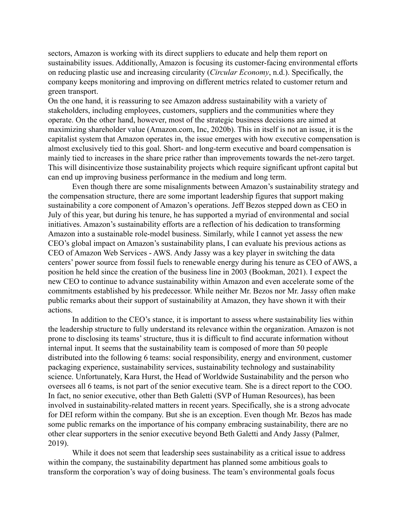sectors, Amazon is working with its direct suppliers to educate and help them report on sustainability issues. Additionally, Amazon is focusing its customer-facing environmental efforts on reducing plastic use and increasing circularity (*Circular Economy*, n.d.). Specifically, the company keeps monitoring and improving on different metrics related to customer return and green transport.

On the one hand, it is reassuring to see Amazon address sustainability with a variety of stakeholders, including employees, customers, suppliers and the communities where they operate. On the other hand, however, most of the strategic business decisions are aimed at maximizing shareholder value (Amazon.com, Inc, 2020b). This in itself is not an issue, it is the capitalist system that Amazon operates in, the issue emerges with how executive compensation is almost exclusively tied to this goal. Short- and long-term executive and board compensation is mainly tied to increases in the share price rather than improvements towards the net-zero target. This will disincentivize those sustainability projects which require significant upfront capital but can end up improving business performance in the medium and long term.

Even though there are some misalignments between Amazon's sustainability strategy and the compensation structure, there are some important leadership figures that support making sustainability a core component of Amazon's operations. Jeff Bezos stepped down as CEO in July of this year, but during his tenure, he has supported a myriad of environmental and social initiatives. Amazon's sustainability efforts are a reflection of his dedication to transforming Amazon into a sustainable role-model business. Similarly, while I cannot yet assess the new CEO's global impact on Amazon's sustainability plans, I can evaluate his previous actions as CEO of Amazon Web Services - AWS. Andy Jassy was a key player in switching the data centers' power source from fossil fuels to renewable energy during his tenure as CEO of AWS, a position he held since the creation of the business line in 2003 (Bookman, 2021). I expect the new CEO to continue to advance sustainability within Amazon and even accelerate some of the commitments established by his predecessor. While neither Mr. Bezos nor Mr. Jassy often make public remarks about their support of sustainability at Amazon, they have shown it with their actions.

In addition to the CEO's stance, it is important to assess where sustainability lies within the leadership structure to fully understand its relevance within the organization. Amazon is not prone to disclosing its teams' structure, thus it is difficult to find accurate information without internal input. It seems that the sustainability team is composed of more than 50 people distributed into the following 6 teams: social responsibility, energy and environment, customer packaging experience, sustainability services, sustainability technology and sustainability science. Unfortunately, Kara Hurst, the Head of Worldwide Sustainability and the person who oversees all 6 teams, is not part of the senior executive team. She is a direct report to the COO. In fact, no senior executive, other than Beth Galetti (SVP of Human Resources), has been involved in sustainability-related matters in recent years. Specifically, she is a strong advocate for DEI reform within the company. But she is an exception. Even though Mr. Bezos has made some public remarks on the importance of his company embracing sustainability, there are no other clear supporters in the senior executive beyond Beth Galetti and Andy Jassy (Palmer, 2019).

While it does not seem that leadership sees sustainability as a critical issue to address within the company, the sustainability department has planned some ambitious goals to transform the corporation's way of doing business. The team's environmental goals focus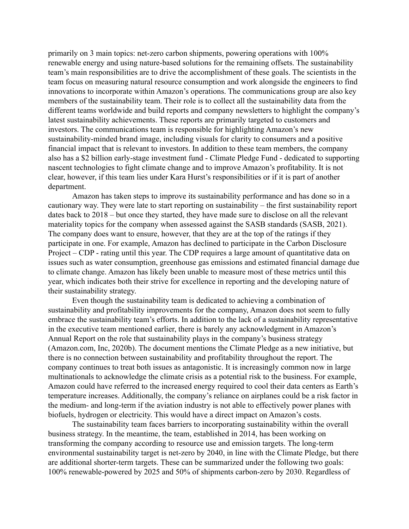primarily on 3 main topics: net-zero carbon shipments, powering operations with 100% renewable energy and using nature-based solutions for the remaining offsets. The sustainability team's main responsibilities are to drive the accomplishment of these goals. The scientists in the team focus on measuring natural resource consumption and work alongside the engineers to find innovations to incorporate within Amazon's operations. The communications group are also key members of the sustainability team. Their role is to collect all the sustainability data from the different teams worldwide and build reports and company newsletters to highlight the company's latest sustainability achievements. These reports are primarily targeted to customers and investors. The communications team is responsible for highlighting Amazon's new sustainability-minded brand image, including visuals for clarity to consumers and a positive financial impact that is relevant to investors. In addition to these team members, the company also has a \$2 billion early-stage investment fund - Climate Pledge Fund - dedicated to supporting nascent technologies to fight climate change and to improve Amazon's profitability. It is not clear, however, if this team lies under Kara Hurst's responsibilities or if it is part of another department.

Amazon has taken steps to improve its sustainability performance and has done so in a cautionary way. They were late to start reporting on sustainability – the first sustainability report dates back to 2018 – but once they started, they have made sure to disclose on all the relevant materiality topics for the company when assessed against the SASB standards (SASB, 2021). The company does want to ensure, however, that they are at the top of the ratings if they participate in one. For example, Amazon has declined to participate in the Carbon Disclosure Project – CDP - rating until this year. The CDP requires a large amount of quantitative data on issues such as water consumption, greenhouse gas emissions and estimated financial damage due to climate change. Amazon has likely been unable to measure most of these metrics until this year, which indicates both their strive for excellence in reporting and the developing nature of their sustainability strategy.

Even though the sustainability team is dedicated to achieving a combination of sustainability and profitability improvements for the company, Amazon does not seem to fully embrace the sustainability team's efforts. In addition to the lack of a sustainability representative in the executive team mentioned earlier, there is barely any acknowledgment in Amazon's Annual Report on the role that sustainability plays in the company's business strategy (Amazon.com, Inc, 2020b). The document mentions the Climate Pledge as a new initiative, but there is no connection between sustainability and profitability throughout the report. The company continues to treat both issues as antagonistic. It is increasingly common now in large multinationals to acknowledge the climate crisis as a potential risk to the business. For example, Amazon could have referred to the increased energy required to cool their data centers as Earth's temperature increases. Additionally, the company's reliance on airplanes could be a risk factor in the medium- and long-term if the aviation industry is not able to effectively power planes with biofuels, hydrogen or electricity. This would have a direct impact on Amazon's costs.

The sustainability team faces barriers to incorporating sustainability within the overall business strategy. In the meantime, the team, established in 2014, has been working on transforming the company according to resource use and emission targets. The long-term environmental sustainability target is net-zero by 2040, in line with the Climate Pledge, but there are additional shorter-term targets. These can be summarized under the following two goals: 100% renewable-powered by 2025 and 50% of shipments carbon-zero by 2030. Regardless of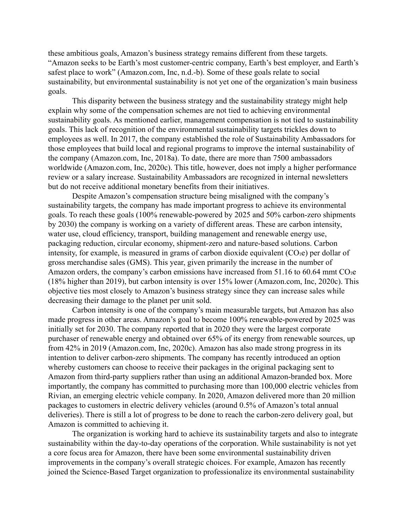these ambitious goals, Amazon's business strategy remains different from these targets. "Amazon seeks to be Earth's most customer-centric company, Earth's best employer, and Earth's safest place to work" (Amazon.com, Inc, n.d.-b). Some of these goals relate to social sustainability, but environmental sustainability is not yet one of the organization's main business goals.

This disparity between the business strategy and the sustainability strategy might help explain why some of the compensation schemes are not tied to achieving environmental sustainability goals. As mentioned earlier, management compensation is not tied to sustainability goals. This lack of recognition of the environmental sustainability targets trickles down to employees as well. In 2017, the company established the role of Sustainability Ambassadors for those employees that build local and regional programs to improve the internal sustainability of the company (Amazon.com, Inc, 2018a). To date, there are more than 7500 ambassadors worldwide (Amazon.com, Inc, 2020c). This title, however, does not imply a higher performance review or a salary increase. Sustainability Ambassadors are recognized in internal newsletters but do not receive additional monetary benefits from their initiatives.

Despite Amazon's compensation structure being misaligned with the company's sustainability targets, the company has made important progress to achieve its environmental goals. To reach these goals (100% renewable-powered by 2025 and 50% carbon-zero shipments by 2030) the company is working on a variety of different areas. These are carbon intensity, water use, cloud efficiency, transport, building management and renewable energy use, packaging reduction, circular economy, shipment-zero and nature-based solutions. Carbon intensity, for example, is measured in grams of carbon dioxide equivalent  $(CO_2e)$  per dollar of gross merchandise sales (GMS). This year, given primarily the increase in the number of Amazon orders, the company's carbon emissions have increased from 51.16 to 60.64 mmt  $CO<sub>2</sub>e$ (18% higher than 2019), but carbon intensity is over 15% lower (Amazon.com, Inc, 2020c). This objective ties most closely to Amazon's business strategy since they can increase sales while decreasing their damage to the planet per unit sold.

Carbon intensity is one of the company's main measurable targets, but Amazon has also made progress in other areas. Amazon's goal to become 100% renewable-powered by 2025 was initially set for 2030. The company reported that in 2020 they were the largest corporate purchaser of renewable energy and obtained over 65% of its energy from renewable sources, up from 42% in 2019 (Amazon.com, Inc, 2020c). Amazon has also made strong progress in its intention to deliver carbon-zero shipments. The company has recently introduced an option whereby customers can choose to receive their packages in the original packaging sent to Amazon from third-party suppliers rather than using an additional Amazon-branded box. More importantly, the company has committed to purchasing more than 100,000 electric vehicles from Rivian, an emerging electric vehicle company. In 2020, Amazon delivered more than 20 million packages to customers in electric delivery vehicles (around 0.5% of Amazon's total annual deliveries). There is still a lot of progress to be done to reach the carbon-zero delivery goal, but Amazon is committed to achieving it.

The organization is working hard to achieve its sustainability targets and also to integrate sustainability within the day-to-day operations of the corporation. While sustainability is not yet a core focus area for Amazon, there have been some environmental sustainability driven improvements in the company's overall strategic choices. For example, Amazon has recently joined the Science-Based Target organization to professionalize its environmental sustainability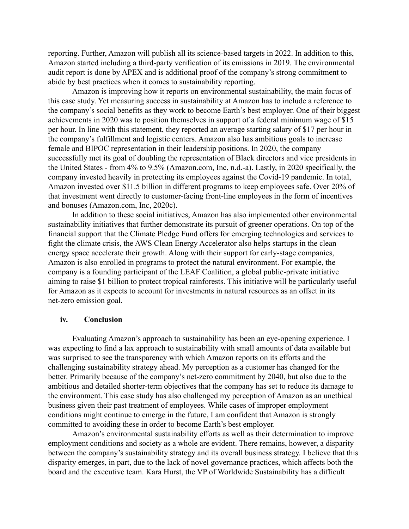reporting. Further, Amazon will publish all its science-based targets in 2022. In addition to this, Amazon started including a third-party verification of its emissions in 2019. The environmental audit report is done by APEX and is additional proof of the company's strong commitment to abide by best practices when it comes to sustainability reporting.

Amazon is improving how it reports on environmental sustainability, the main focus of this case study. Yet measuring success in sustainability at Amazon has to include a reference to the company's social benefits as they work to become Earth's best employer. One of their biggest achievements in 2020 was to position themselves in support of a federal minimum wage of \$15 per hour. In line with this statement, they reported an average starting salary of \$17 per hour in the company's fulfillment and logistic centers. Amazon also has ambitious goals to increase female and BIPOC representation in their leadership positions. In 2020, the company successfully met its goal of doubling the representation of Black directors and vice presidents in the United States - from 4% to 9.5% (Amazon.com, Inc, n.d.-a). Lastly, in 2020 specifically, the company invested heavily in protecting its employees against the Covid-19 pandemic. In total, Amazon invested over \$11.5 billion in different programs to keep employees safe. Over 20% of that investment went directly to customer-facing front-line employees in the form of incentives and bonuses (Amazon.com, Inc, 2020c).

In addition to these social initiatives, Amazon has also implemented other environmental sustainability initiatives that further demonstrate its pursuit of greener operations. On top of the financial support that the Climate Pledge Fund offers for emerging technologies and services to fight the climate crisis, the AWS Clean Energy Accelerator also helps startups in the clean energy space accelerate their growth. Along with their support for early-stage companies, Amazon is also enrolled in programs to protect the natural environment. For example, the company is a founding participant of the LEAF Coalition, a global public-private initiative aiming to raise \$1 billion to protect tropical rainforests. This initiative will be particularly useful for Amazon as it expects to account for investments in natural resources as an offset in its net-zero emission goal.

#### **iv. Conclusion**

Evaluating Amazon's approach to sustainability has been an eye-opening experience. I was expecting to find a lax approach to sustainability with small amounts of data available but was surprised to see the transparency with which Amazon reports on its efforts and the challenging sustainability strategy ahead. My perception as a customer has changed for the better. Primarily because of the company's net-zero commitment by 2040, but also due to the ambitious and detailed shorter-term objectives that the company has set to reduce its damage to the environment. This case study has also challenged my perception of Amazon as an unethical business given their past treatment of employees. While cases of improper employment conditions might continue to emerge in the future, I am confident that Amazon is strongly committed to avoiding these in order to become Earth's best employer.

Amazon's environmental sustainability efforts as well as their determination to improve employment conditions and society as a whole are evident. There remains, however, a disparity between the company's sustainability strategy and its overall business strategy. I believe that this disparity emerges, in part, due to the lack of novel governance practices, which affects both the board and the executive team. Kara Hurst, the VP of Worldwide Sustainability has a difficult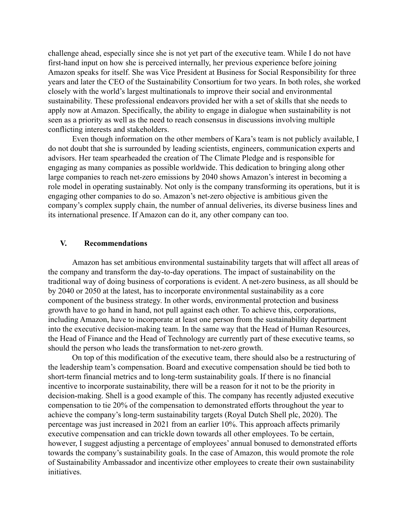challenge ahead, especially since she is not yet part of the executive team. While I do not have first-hand input on how she is perceived internally, her previous experience before joining Amazon speaks for itself. She was Vice President at Business for Social Responsibility for three years and later the CEO of the Sustainability Consortium for two years. In both roles, she worked closely with the world's largest multinationals to improve their social and environmental sustainability. These professional endeavors provided her with a set of skills that she needs to apply now at Amazon. Specifically, the ability to engage in dialogue when sustainability is not seen as a priority as well as the need to reach consensus in discussions involving multiple conflicting interests and stakeholders.

Even though information on the other members of Kara's team is not publicly available, I do not doubt that she is surrounded by leading scientists, engineers, communication experts and advisors. Her team spearheaded the creation of The Climate Pledge and is responsible for engaging as many companies as possible worldwide. This dedication to bringing along other large companies to reach net-zero emissions by 2040 shows Amazon's interest in becoming a role model in operating sustainably. Not only is the company transforming its operations, but it is engaging other companies to do so. Amazon's net-zero objective is ambitious given the company's complex supply chain, the number of annual deliveries, its diverse business lines and its international presence. If Amazon can do it, any other company can too.

### **V. Recommendations**

Amazon has set ambitious environmental sustainability targets that will affect all areas of the company and transform the day-to-day operations. The impact of sustainability on the traditional way of doing business of corporations is evident. A net-zero business, as all should be by 2040 or 2050 at the latest, has to incorporate environmental sustainability as a core component of the business strategy. In other words, environmental protection and business growth have to go hand in hand, not pull against each other. To achieve this, corporations, including Amazon, have to incorporate at least one person from the sustainability department into the executive decision-making team. In the same way that the Head of Human Resources, the Head of Finance and the Head of Technology are currently part of these executive teams, so should the person who leads the transformation to net-zero growth.

On top of this modification of the executive team, there should also be a restructuring of the leadership team's compensation. Board and executive compensation should be tied both to short-term financial metrics and to long-term sustainability goals. If there is no financial incentive to incorporate sustainability, there will be a reason for it not to be the priority in decision-making. Shell is a good example of this. The company has recently adjusted executive compensation to tie 20% of the compensation to demonstrated efforts throughout the year to achieve the company's long-term sustainability targets (Royal Dutch Shell plc, 2020). The percentage was just increased in 2021 from an earlier 10%. This approach affects primarily executive compensation and can trickle down towards all other employees. To be certain, however, I suggest adjusting a percentage of employees' annual bonused to demonstrated efforts towards the company's sustainability goals. In the case of Amazon, this would promote the role of Sustainability Ambassador and incentivize other employees to create their own sustainability initiatives.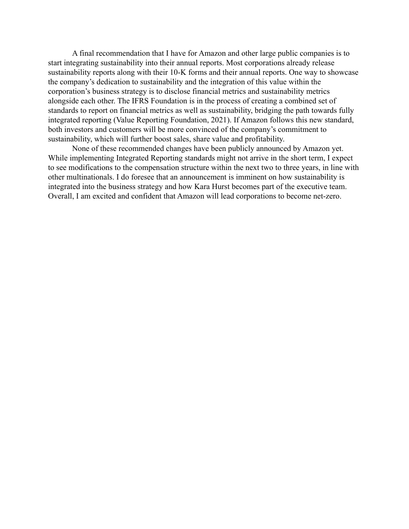A final recommendation that I have for Amazon and other large public companies is to start integrating sustainability into their annual reports. Most corporations already release sustainability reports along with their 10-K forms and their annual reports. One way to showcase the company's dedication to sustainability and the integration of this value within the corporation's business strategy is to disclose financial metrics and sustainability metrics alongside each other. The IFRS Foundation is in the process of creating a combined set of standards to report on financial metrics as well as sustainability, bridging the path towards fully integrated reporting (Value Reporting Foundation, 2021). If Amazon follows this new standard, both investors and customers will be more convinced of the company's commitment to sustainability, which will further boost sales, share value and profitability.

None of these recommended changes have been publicly announced by Amazon yet. While implementing Integrated Reporting standards might not arrive in the short term, I expect to see modifications to the compensation structure within the next two to three years, in line with other multinationals. I do foresee that an announcement is imminent on how sustainability is integrated into the business strategy and how Kara Hurst becomes part of the executive team. Overall, I am excited and confident that Amazon will lead corporations to become net-zero.